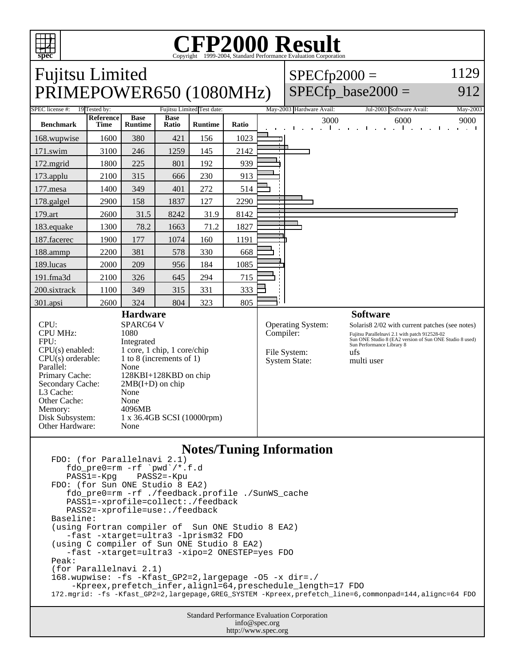

# Copyright ©1999-2004, Standard Performance Evaluation Corporation

## Fujitsu Limited PRIMEPOWER650 (1080MHz)

#### $SPECfp2000 =$ 1129

### $SPECfp\_base2000 =$

912

| SPEC license #:<br>19 Tested by:                                                                                                                                                                                                                                                                                                                                                                                          |                          |                               |                      | Fujitsu Limited Test date: |                                                                               |                          | May-2003 Hardware Avail: |      | Jul-2003 Software Avail:                                                                                                                                                                                                        |                |                                                                    |                      |  | May-2003 |               |  |
|---------------------------------------------------------------------------------------------------------------------------------------------------------------------------------------------------------------------------------------------------------------------------------------------------------------------------------------------------------------------------------------------------------------------------|--------------------------|-------------------------------|----------------------|----------------------------|-------------------------------------------------------------------------------|--------------------------|--------------------------|------|---------------------------------------------------------------------------------------------------------------------------------------------------------------------------------------------------------------------------------|----------------|--------------------------------------------------------------------|----------------------|--|----------|---------------|--|
| <b>Benchmark</b>                                                                                                                                                                                                                                                                                                                                                                                                          | Reference<br><b>Time</b> | <b>Base</b><br><b>Runtime</b> | <b>Base</b><br>Ratio | <b>Runtime</b>             | Ratio                                                                         |                          |                          | 3000 | $\mathbf{1}$ and $\mathbf{1}$                                                                                                                                                                                                   | $\blacksquare$ | $\mathbf{a} = \mathbf{a} + \mathbf{a}$ , $\mathbf{a} = \mathbf{a}$ | 6000<br>$\mathbf{1}$ |  |          | 9000<br>. . I |  |
| 168.wupwise                                                                                                                                                                                                                                                                                                                                                                                                               | 1600                     | 380                           | 421                  | 156                        | 1023                                                                          |                          |                          |      |                                                                                                                                                                                                                                 |                |                                                                    |                      |  |          |               |  |
| $171$ .swim                                                                                                                                                                                                                                                                                                                                                                                                               | 3100                     | 246                           | 1259                 | 145                        | 2142                                                                          | $\mathbf{r}$             |                          |      |                                                                                                                                                                                                                                 |                |                                                                    |                      |  |          |               |  |
| 172.mgrid                                                                                                                                                                                                                                                                                                                                                                                                                 | 1800                     | 225                           | 801                  | 192                        | 939                                                                           |                          |                          |      |                                                                                                                                                                                                                                 |                |                                                                    |                      |  |          |               |  |
| 173.applu                                                                                                                                                                                                                                                                                                                                                                                                                 | 2100                     | 315                           | 666                  | 230                        | 913                                                                           |                          |                          |      |                                                                                                                                                                                                                                 |                |                                                                    |                      |  |          |               |  |
| $177$ .mesa                                                                                                                                                                                                                                                                                                                                                                                                               | 1400                     | 349                           | 401                  | 272                        | 514                                                                           |                          |                          |      |                                                                                                                                                                                                                                 |                |                                                                    |                      |  |          |               |  |
| 178.galgel                                                                                                                                                                                                                                                                                                                                                                                                                | 2900                     | 158                           | 1837                 | 127                        | 2290                                                                          |                          |                          |      |                                                                                                                                                                                                                                 |                |                                                                    |                      |  |          |               |  |
| 179.art                                                                                                                                                                                                                                                                                                                                                                                                                   | 2600                     | 31.5                          | 8242                 | 31.9                       | 8142                                                                          | $\overline{\phantom{a}}$ |                          |      |                                                                                                                                                                                                                                 |                |                                                                    |                      |  |          |               |  |
| 183.equake                                                                                                                                                                                                                                                                                                                                                                                                                | 1300                     | 78.2                          | 1663                 | 71.2                       | 1827                                                                          |                          |                          |      |                                                                                                                                                                                                                                 |                |                                                                    |                      |  |          |               |  |
| 187.facerec                                                                                                                                                                                                                                                                                                                                                                                                               | 1900                     | 177                           | 1074                 | 160                        | 1191                                                                          |                          |                          |      |                                                                                                                                                                                                                                 |                |                                                                    |                      |  |          |               |  |
| 188.ammp                                                                                                                                                                                                                                                                                                                                                                                                                  | 2200                     | 381                           | 578                  | 330                        | 668                                                                           |                          |                          |      |                                                                                                                                                                                                                                 |                |                                                                    |                      |  |          |               |  |
| 189.lucas                                                                                                                                                                                                                                                                                                                                                                                                                 | 2000                     | 209                           | 956                  | 184                        | 1085                                                                          |                          |                          |      |                                                                                                                                                                                                                                 |                |                                                                    |                      |  |          |               |  |
| 191.fma3d                                                                                                                                                                                                                                                                                                                                                                                                                 | 2100                     | 326                           | 645                  | 294                        | 715                                                                           |                          |                          |      |                                                                                                                                                                                                                                 |                |                                                                    |                      |  |          |               |  |
| 200.sixtrack                                                                                                                                                                                                                                                                                                                                                                                                              | 1100                     | 349                           | 315                  | 331                        | 333                                                                           |                          |                          |      |                                                                                                                                                                                                                                 |                |                                                                    |                      |  |          |               |  |
| 301.apsi                                                                                                                                                                                                                                                                                                                                                                                                                  | 2600                     | 324                           | 804                  | 323                        | 805                                                                           |                          |                          |      |                                                                                                                                                                                                                                 |                |                                                                    |                      |  |          |               |  |
| <b>Hardware</b><br>CPU:<br>SPARC64 V<br><b>CPU MHz:</b><br>1080<br>FPU:<br>Integrated<br>$CPU(s)$ enabled:<br>1 core, 1 chip, 1 core/chip<br>1 to 8 (increments of 1)<br>$CPU(s)$ orderable:<br>Parallel:<br>None<br>Primary Cache:<br>128KBI+128KBD on chip<br>Secondary Cache:<br>$2MB(I+D)$ on chip<br>L3 Cache:<br>None<br>Other Cache:<br>None<br>Memory:<br>4096MB<br>Disk Subsystem:<br>1 x 36.4GB SCSI (10000rpm) |                          |                               |                      |                            | <b>Operating System:</b><br>Compiler:<br>File System:<br><b>System State:</b> |                          |                          |      | <b>Software</b><br>Solaris 82/02 with current patches (see notes)<br>Fujitsu Parallelnavi 2.1 with patch 912528-02<br>Sun ONE Studio 8 (EA2 version of Sun ONE Studio 8 used)<br>Sun Performance Library 8<br>ufs<br>multi user |                |                                                                    |                      |  |          |               |  |
| Other Hardware:<br>None                                                                                                                                                                                                                                                                                                                                                                                                   |                          |                               |                      |                            |                                                                               |                          |                          |      |                                                                                                                                                                                                                                 |                |                                                                    |                      |  |          |               |  |

### **Notes/Tuning Information**

```
FDO: (for Parallelnavi 2.1)
    fdo_pre0=rm -rf `pwd`/*.f.d
   PASS1=-KpgFDO: (for Sun ONE Studio 8 EA2)
    fdo_pre0=rm -rf ./feedback.profile ./SunWS_cache
    PASS1=-xprofile=collect:./feedback
    PASS2=-xprofile=use:./feedback
Baseline:
(using Fortran compiler of Sun ONE Studio 8 EA2)
    -fast -xtarget=ultra3 -lprism32 FDO
(using C compiler of Sun ONE Studio 8 EA2)
    -fast -xtarget=ultra3 -xipo=2 ONESTEP=yes FDO
Peak:
(for Parallelnavi 2.1)
168.wupwise: -fs -Kfast_GP2=2,largepage -O5 -x dir=./ 
     -Kpreex,prefetch_infer,alignl=64,preschedule_length=17 FDO
172.mgrid: -fs -Kfast_GP2=2,largepage,GREG_SYSTEM -Kpreex,prefetch_line=6,commonpad=144,alignc=64 FDO
```
Standard Performance Evaluation Corporation info@spec.org http://www.spec.org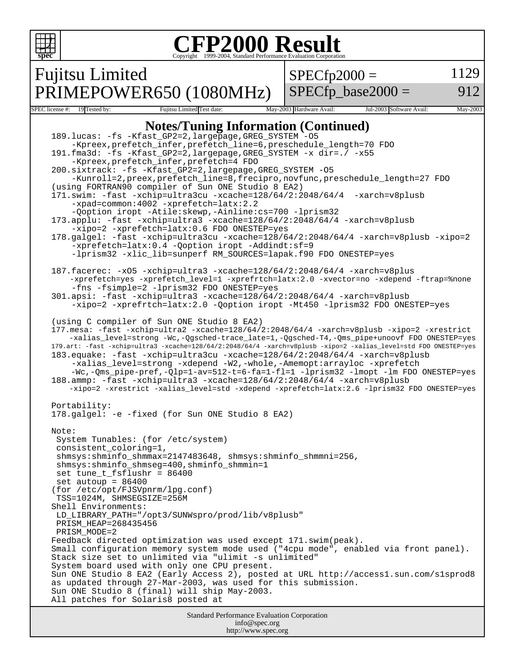```
Standard Performance Evaluation Corporation
                                         info@spec.org
                                        http://www.spec.org
 spec
                             Copyright ©1999-2004, Standard Performance Evaluation Corporation
Fujitsu Limited
PRIMEPOWER650 (1080MHz)
                                                     SPECfp2000 =SPECfp base2000 =1129
                                                                                         912
SPEC license #: 19 Tested by: Fujitsu Limited Test date: May-2003 Hardware Avail: Jul-2003 Software Avail: May-2003
                       Notes/Tuning Information (Continued)
   189.lucas: -fs -Kfast_GP2=2,largepage,GREG_SYSTEM -O5 
         -Kpreex,prefetch_infer,prefetch_line=6,preschedule_length=70 FDO
   191.fma3d: -fs -Kfast_GP2=2,largepage,GREG_SYSTEM -x dir=./ -x55 
         -Kpreex,prefetch_infer,prefetch=4 FDO
   200.sixtrack: -fs -Kfast_GP2=2,largepage,GREG_SYSTEM -O5 
         -Kunroll=2,preex,prefetch_line=8,frecipro,novfunc,preschedule_length=27 FDO
   (using FORTRAN90 compiler of Sun ONE Studio 8 EA2)
   171.swim: -fast -xchip=ultra3cu -xcache=128/64/2:2048/64/4 -xarch=v8plusb 
         -xpad=common:4002 -xprefetch=latx:2.2
         -Qoption iropt -Atile:skewp,-Ainline:cs=700 -lprism32
   173.applu: -fast -xchip=ultra3 -xcache=128/64/2:2048/64/4 -xarch=v8plusb 
         -xipo=2 -xprefetch=latx:0.6 FDO ONESTEP=yes
   178.galgel: -fast -xchip=ultra3cu -xcache=128/64/2:2048/64/4 -xarch=v8plusb -xipo=2
         -xprefetch=latx:0.4 -Qoption iropt -Addindt:sf=9
         -lprism32 -xlic_lib=sunperf RM_SOURCES=lapak.f90 FDO ONESTEP=yes
   187.facerec: -xO5 -xchip=ultra3 -xcache=128/64/2:2048/64/4 -xarch=v8plus 
        -xprefetch=yes -xprefetch_level=1 -xprefrtch=latx:2.0 -xvector=no -xdepend -ftrap=%none 
         -fns -fsimple=2 -lprism32 FDO ONESTEP=yes
   301.apsi: -fast -xchip=ultra3 -xcache=128/64/2:2048/64/4 -xarch=v8plusb 
         -xipo=2 -xprefrtch=latx:2.0 -Qoption iropt -Mt450 -lprism32 FDO ONESTEP=yes
   (using C compiler of Sun ONE Studio 8 EA2)
   177.mesa: -fast -xchip=ultra2 -xcache=128/64/2:2048/64/4 -xarch=v8plusb -xipo=2 -xrestrict 
        -xalias_level=strong -Wc,-Qgsched-trace_late=1,-Qgsched-T4,-Qms_pipe+unoovf FDO ONESTEP=yes
   179.art: -fast -xchip=ultra3 -xcache=128/64/2:2048/64/4 -xarch=v8plusb -xipo=2 -xalias_level=std FDO ONESTEP=yes
   183.equake: -fast -xchip=ultra3cu -xcache=128/64/2:2048/64/4 -xarch=v8plusb 
         -xalias_level=strong -xdepend -W2,-whole,-Amemopt:arrayloc -xprefetch 
        -Wc,-Qms_pipe-pref,-Qlp=1-av=512-t=6-fa=1-fl=1 -lprism32 -lmopt -lm FDO ONESTEP=yes
   188.ammp: -fast -xchip=ultra3 -xcache=128/64/2:2048/64/4 -xarch=v8plusb 
        -xipo=2 -xrestrict -xalias_level=std -xdepend -xprefetch=latx:2.6 -lprism32 FDO ONESTEP=yes
   Portability:
   178.galgel: -e -fixed (for Sun ONE Studio 8 EA2)
   Note:
     System Tunables: (for /etc/system)
     consistent_coloring=1,
     shmsys:shminfo_shmmax=2147483648, shmsys:shminfo_shmmni=256, 
     shmsys:shminfo_shmseg=400,shminfo_shmmin=1
     set tune_t_fsflushr = 86400
     set autoup = 86400
    (for /etc/opt/FJSVpnrm/lpg.conf)
     TSS=1024M, SHMSEGSIZE=256M 
   Shell Environments:
    LD_LIBRARY_PATH="/opt3/SUNWspro/prod/lib/v8plusb"
     PRISM_HEAP=268435456
     PRISM_MODE=2
   Feedback directed optimization was used except 171.swim(peak).
   Small configuration memory system mode used ("4cpu mode", enabled via front panel).
   Stack size set to unlimited via "ulimit -s unlimited"
   System board used with only one CPU present.
   Sun ONE Studio 8 EA2 (Early Access 2), posted at URL http://access1.sun.com/s1sprod8
   as updated through 27-Mar-2003, was used for this submission.
   Sun ONE Studio 8 (final) will ship May-2003.
   All patches for Solaris8 posted at
```